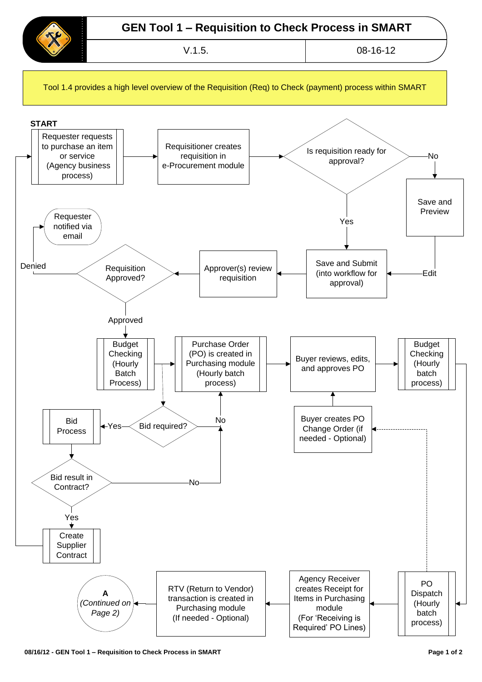

Tool 1.4 provides a high level overview of the Requisition (Req) to Check (payment) process within SMART